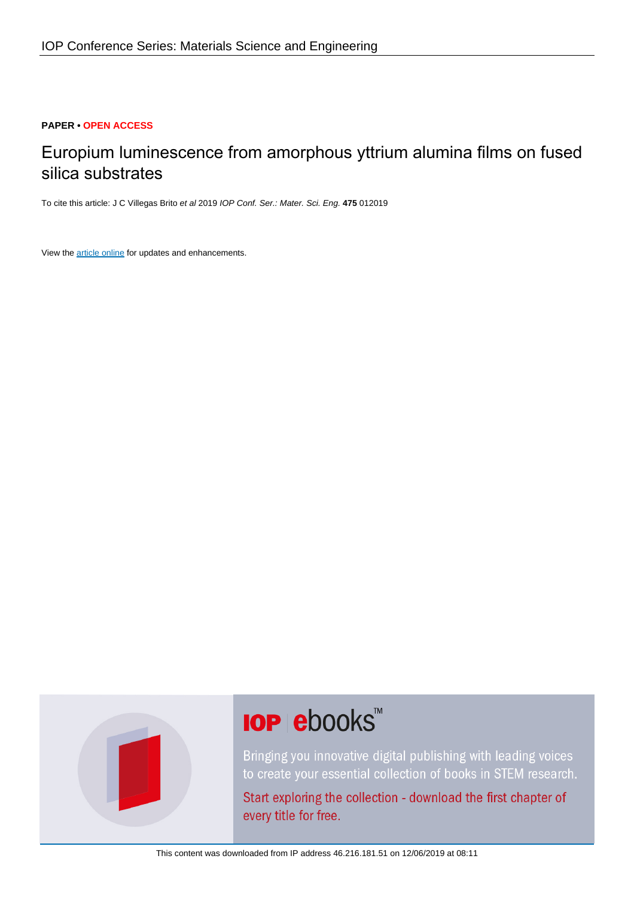## **PAPER • OPEN ACCESS**

# Europium luminescence from amorphous yttrium alumina films on fused silica substrates

To cite this article: J C Villegas Brito et al 2019 IOP Conf. Ser.: Mater. Sci. Eng. **475** 012019

View the [article online](https://doi.org/10.1088/1757-899X/475/1/012019) for updates and enhancements.



# **IOP ebooks**™

Bringing you innovative digital publishing with leading voices to create your essential collection of books in STEM research.

Start exploring the collection - download the first chapter of every title for free.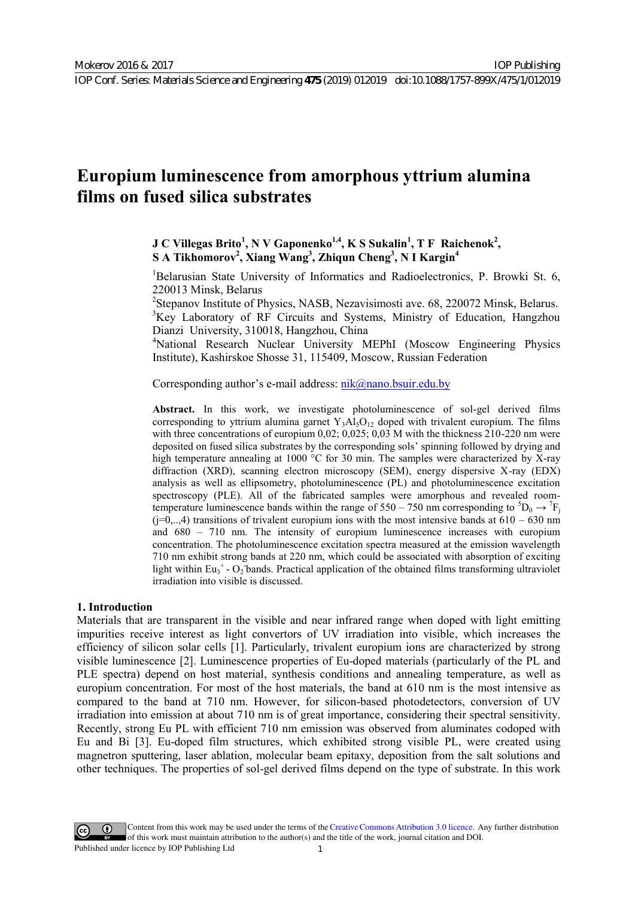IOP Publishing

## **Europium luminescence from amorphous yttrium alumina films on fused silica substrates**

**J** C Villegas Brito<sup>1</sup>, N V Gaponenko<sup>1,4</sup>, K S Sukalin<sup>1</sup>, T F Raichenok<sup>2</sup>, **S A Tikhomorov<sup>2</sup> , Xiang Wang3 , Zhiqun Cheng<sup>3</sup> , N I Kargin<sup>4</sup>**

<sup>1</sup>Belarusian State University of Informatics and Radioelectronics, P. Browki St. 6, 220013 Minsk, Belarus

<sup>2</sup>Stepanov Institute of Physics, NASB, Nezavisimosti ave. 68, 220072 Minsk, Belarus. <sup>3</sup>Key Laboratory of RF Circuits and Systems, Ministry of Education, Hangzhou Dianzi University, 310018, Hangzhou, China

4 National Research Nuclear University MEPhI (Moscow Engineering Physics Institute), Kashirskoe Shosse 31, 115409, Moscow, Russian Federation

Corresponding author's e-mail address: nik@nano.bsuir.edu.by

**Abstract.** In this work, we investigate photoluminescence of sol-gel derived films corresponding to yttrium alumina garnet  $Y_3A\&I_3O_{12}$  doped with trivalent europium. The films with three concentrations of europium 0,02[; 0,025; 0,03 M with the thi](mailto:nik@nano.bsuir.edu.by)ckness 210-220 nm were deposited on fused silica substrates by the corresponding sols' spinning followed by drying and high temperature annealing at 1000 °C for 30 min. The samples were characterized by X-ray diffraction (XRD), scanning electron microscopy (SEM), energy dispersive Х-ray (EDX) analysis as well as ellipsometry, photoluminescence (PL) and photoluminescence excitation spectroscopy (PLE). All of the fabricated samples were amorphous and revealed roomtemperature luminescence bands within the range of 550 – 750 nm corresponding to  ${}^{5}D_0 \rightarrow {}^{7}F_1$  $(i=0,..,4)$  transitions of trivalent europium ions with the most intensive bands at  $610 - 630$  nm and 680 – 710 nm. The intensity of europium luminescence increases with europium concentration. The photoluminescence excitation spectra measured at the emission wavelength 710 nm exhibit strong bands at 220 nm, which could be associated with absorption of exciting light within  $Eu_3^+ - O_2$  bands. Practical application of the obtained films transforming ultraviolet irradiation into visible is discussed.

#### **1. Introduction**

Materials that are transparent in the visible and near infrared range when doped with light emitting impurities receive interest as light convertors of UV irradiation into visible, which increases the efficiency of silicon solar cells [1]. Particularly, trivalent europium ions are characterized by strong visible luminescence [2]. Luminescence properties of Eu-doped materials (particularly of the PL and PLE spectra) depend on host material, synthesis conditions and annealing temperature, as well as europium concentration. For most of the host materials, the band at 610 nm is the most intensive as compared to the band at 710 nm. However, for silicon-based photodetectors, conversion of UV irradiation into emission at about 710 nm is of great importance, considering their spectral sensitivity. Recently, strong Eu PL with efficient 710 nm emission was observed from aluminates codoped with Eu and Bi [3]. Eu-doped film structures, which exhibited strong visible PL, were created using magnetron sputtering, laser ablation, molecular beam epitaxy, deposition from the salt solutions and other techniques. The properties of sol-gel derived films depend on the type of substrate. In this work

Content from this work may be used under the terms of the [Creative Commons Attribution 3.0 licence.](http://creativecommons.org/licenses/by/3.0) Any further distribution of this work must maintain attribution to the author(s) and the title of the work, journal citation and DOI. Published under licence by IOP Publishing Ltd 1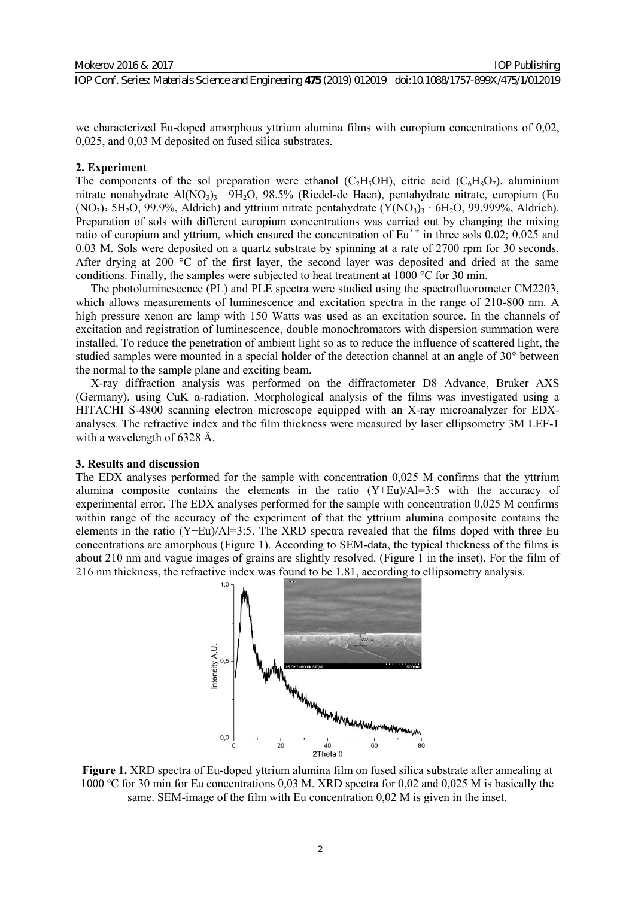IOP Conf. Series: Materials Science and Engineering **475** (2019) 012019 doi:10.1088/1757-899X/475/1/012019

we characterized Eu-doped amorphous yttrium alumina films with europium concentrations of 0,02, 0,025, and 0,03 M deposited on fused silica substrates.

#### **2. Experiment**

The components of the sol preparation were ethanol (C<sub>2</sub>H<sub>5</sub>OH), citric acid (C<sub>6</sub>H<sub>8</sub>O<sub>7</sub>), aluminium nitrate nonahydrate Al(NO<sub>3</sub>)<sub>3</sub> 9H<sub>2</sub>O, 98.5% (Riedel-de Haen), pentahydrate nitrate, europium (Eu  $(NO<sub>3</sub>)<sub>3</sub>$  5H<sub>2</sub>O, 99.9%, Aldrich) and yttrium nitrate pentahydrate  $(Y(NO<sub>3</sub>)<sub>3</sub> · 6H<sub>2</sub>O, 99.999%,$  Aldrich). Preparation of sols with different europium concentrations was carried out by changing the mixing ratio of europium and yttrium, which ensured the concentration of  $Eu^{3+}$  in three sols 0.02; 0.025 and 0.03 M. Sols were deposited on a quartz substrate by spinning at a rate of 2700 rpm for 30 seconds. After drying at 200 °C of the first layer, the second layer was deposited and dried at the same conditions. Finally, the samples were subjected to heat treatment at 1000  $^{\circ}$ C for 30 min.

The photoluminescence (PL) and PLE spectra were studied using the spectrofluorometer CM2203, which allows measurements of luminescence and excitation spectra in the range of 210-800 nm. A high pressure xenon arc lamp with 150 Watts was used as an excitation source. In the channels of excitation and registration of luminescence, double monochromators with dispersion summation were installed. To reduce the penetration of ambient light so as to reduce the influence of scattered light, the studied samples were mounted in a special holder of the detection channel at an angle of 30° between the normal to the sample plane and exciting beam.

X-ray diffraction analysis was performed on the diffractometer D8 Advance, Bruker AXS (Germany), using CuK α-radiation. Morphological analysis of the films was investigated using a HITACHI S-4800 scanning electron microscope equipped with an X-ray microanalyzer for EDXanalyses. The refractive index and the film thickness were measured by laser ellipsometry 3M LEF-1 with a wavelength of 6328 Å.

#### **3. Results and discussion**

The EDX analyses performed for the sample with concentration 0,025 M confirms that the yttrium alumina composite contains the elements in the ratio  $(Y+Eu)/A=3:5$  with the accuracy of experimental error. The EDX analyses performed for the sample with concentration 0,025 M confirms within range of the accuracy of the experiment of that the yttrium alumina composite contains the elements in the ratio (Y+Eu)/Al=3:5. The XRD spectra revealed that the films doped with three Eu concentrations are amorphous (Figure 1). According to SEM-data, the typical thickness of the films is about 210 nm and vague images of grains are slightly resolved. (Figure 1 in the inset). For the film of 216 nm thickness, the refractive index was found to be 1.81, according to ellipsometry analysis.



**Figure 1.** XRD spectra of Eu-doped yttrium alumina film on fused silica substrate after annealing at 1000 ºС for 30 min for Eu concentrations 0,03 M. XRD spectra for 0,02 and 0,025 M is basically the same. SEM-image of the film with Eu concentration 0,02 M is given in the inset.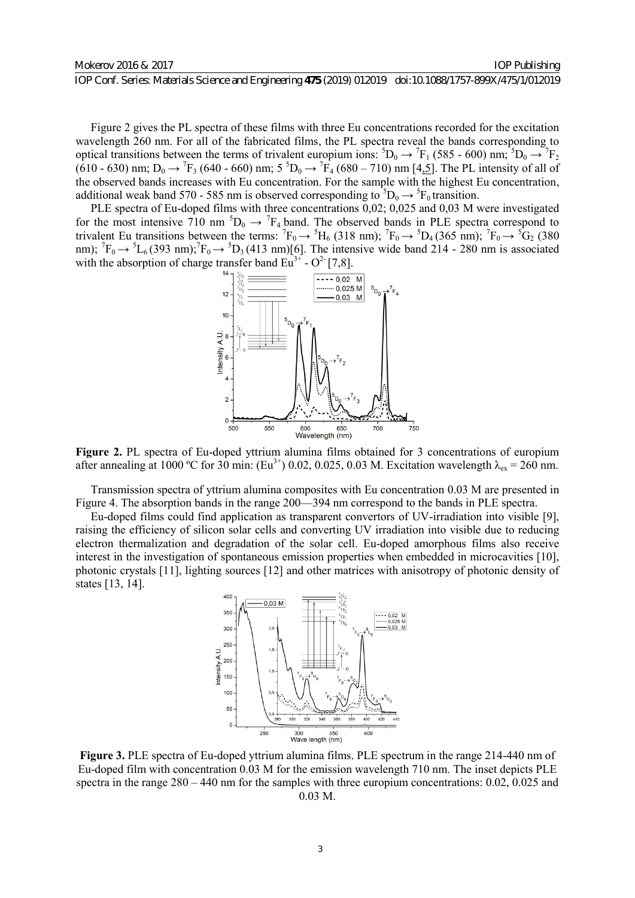IOP Publishing

Figure 2 gives the PL spectra of these films with three Eu concentrations recorded for the excitation wavelength 260 nm. For all of the fabricated films, the PL spectra reveal the bands corresponding to optical transitions between the terms of trivalent europium ions:  ${}^5D_0 \rightarrow {}^7F_1$  (585 - 600) nm;  ${}^5D_0 \rightarrow {}^7F_2$  $(610 - 630)$  nm;  $D_0 \rightarrow {}^7F_3$  (640 - 660) nm;  $5 {}^5D_0 \rightarrow {}^7F_4$  (680 - 710) nm [4,5]. The PL intensity of all of the observed bands increases with Eu concentration. For the sample with the highest Eu concentration, additional weak band 570 - 585 nm is observed corresponding to  ${}^5D_0 \rightarrow {}^5F_0$  transition.

PLE spectra of Eu-doped films with three concentrations 0,02; 0,025 and 0,03 M were investigated for the most intensive 710 nm  ${}^5D_0 \rightarrow {}^7F_4$  band. The observed bands in PLE spectra correspond to trivalent Eu transitions between the terms:  ${}^{7}F_0 \rightarrow {}^{5}H_6$  (318 nm);  ${}^{7}F_0 \rightarrow {}^{5}D_4$  (365 nm);  ${}^{7}F_0 \rightarrow {}^{5}G_2$  (380 nm);  ${}^{7}F_0 \rightarrow {}^{5}L_6(393 \text{ nm})$ ;  ${}^{7}F_0 \rightarrow {}^{5}D_3(413 \text{ nm})[6]$ . The intensive wide band 214 - 280 nm is associated with the absorption of charge transfer band  $\text{Eu}^{3+}$  - O<sup>2</sup> [7,8].



**Figure 2.** PL spectra of Eu-doped yttrium alumina films obtained for 3 concentrations of europium after annealing at 1000 °C for 30 min:  $(Eu^{3+})$  0.02, 0.025, 0.03 M. Excitation wavelength  $\lambda_{ex} = 260$  nm.

Transmission spectra of yttrium alumina composites with Eu concentration 0.03 M are presented in Figure 4. The absorption bands in the range 200—394 nm correspond to the bands in PLE spectra.

Eu-doped films could find application as transparent convertors of UV-irradiation into visible [9], raising the efficiency of silicon solar cells and converting UV irradiation into visible due to reducing electron thermalization and degradation of the solar cell. Eu-doped amorphous films also receive interest in the investigation of spontaneous emission properties when embedded in microcavities [10], photonic crystals [11], lighting sources [12] and other matrices with anisotropy of photonic density of states [13, 14].



**Figure 3.** PLE spectra of Eu-doped yttrium alumina films. PLE spectrum in the range 214-440 nm of Eu-doped film with concentration 0.03 M for the emission wavelength 710 nm. The inset depicts PLE spectra in the range 280 – 440 nm for the samples with three europium concentrations: 0.02, 0.025 and 0.03 M.